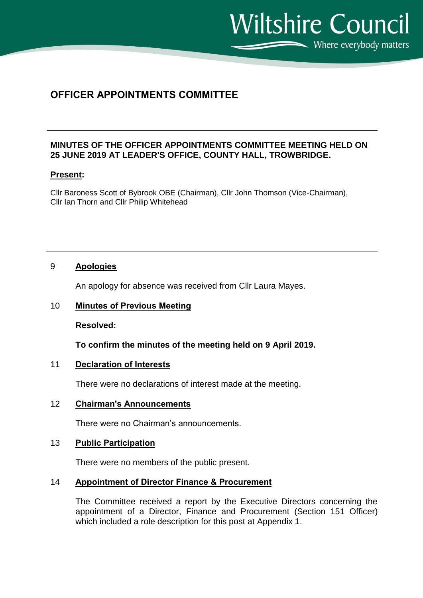Where everybody matters

**Wiltshire Council** 

# **OFFICER APPOINTMENTS COMMITTEE**

# **MINUTES OF THE OFFICER APPOINTMENTS COMMITTEE MEETING HELD ON 25 JUNE 2019 AT LEADER'S OFFICE, COUNTY HALL, TROWBRIDGE.**

# **Present:**

Cllr Baroness Scott of Bybrook OBE (Chairman), Cllr John Thomson (Vice-Chairman), Cllr Ian Thorn and Cllr Philip Whitehead

# 9 **Apologies**

An apology for absence was received from Cllr Laura Mayes.

# 10 **Minutes of Previous Meeting**

**Resolved:**

**To confirm the minutes of the meeting held on 9 April 2019.**

# 11 **Declaration of Interests**

There were no declarations of interest made at the meeting.

# 12 **Chairman's Announcements**

There were no Chairman's announcements.

#### 13 **Public Participation**

There were no members of the public present.

# 14 **Appointment of Director Finance & Procurement**

The Committee received a report by the Executive Directors concerning the appointment of a Director, Finance and Procurement (Section 151 Officer) which included a role description for this post at Appendix 1.